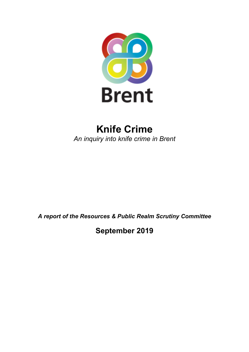

# **Knife Crime** *An inquiry into knife crime in Brent*

*A report of the Resources & Public Realm Scrutiny Committee*

**September 2019**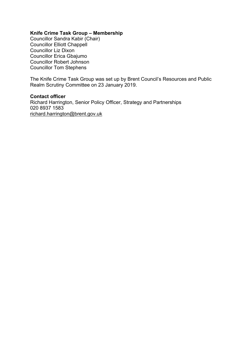# **Knife Crime Task Group – Membership**

Councillor Sandra Kabir (Chair) Councillor Elliott Chappell Councillor Liz Dixon Councillor Erica Gbajumo Councillor Robert Johnson Councillor Tom Stephens

The Knife Crime Task Group was set up by Brent Council's Resources and Public Realm Scrutiny Committee on 23 January 2019.

#### **Contact officer**

Richard Harrington, Senior Policy Officer, Strategy and Partnerships 020 8937 1583 [richard.harrington@brent.gov.uk](mailto:richard.harrington@brent.gov.uk)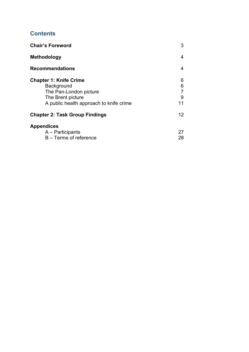# **Contents**

| <b>Chair's Foreword</b>                                                                                                               | 3                      |
|---------------------------------------------------------------------------------------------------------------------------------------|------------------------|
| <b>Methodology</b>                                                                                                                    | 4                      |
| <b>Recommendations</b>                                                                                                                | 4                      |
| <b>Chapter 1: Knife Crime</b><br>Background<br>The Pan-London picture<br>The Brent picture<br>A public health approach to knife crime | 6<br>6<br>7<br>9<br>11 |
| <b>Chapter 2: Task Group Findings</b>                                                                                                 | 12                     |
| <b>Appendices</b><br>A – Participants<br>B - Terms of reference                                                                       | 27<br>28               |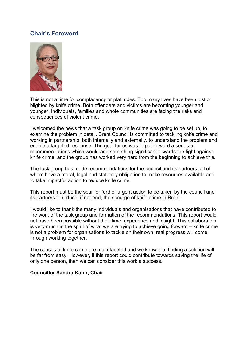# **Chair's Foreword**



This is not a time for complacency or platitudes. Too many lives have been lost or blighted by knife crime. Both offenders and victims are becoming younger and younger. Individuals, families and whole communities are facing the risks and consequences of violent crime.

I welcomed the news that a task group on knife crime was going to be set up, to examine the problem in detail. Brent Council is committed to tackling knife crime and working in partnership, both internally and externally, to understand the problem and enable a targeted response. The goal for us was to put forward a series of recommendations which would add something significant towards the fight against knife crime, and the group has worked very hard from the beginning to achieve this.

The task group has made recommendations for the council and its partners, all of whom have a moral, legal and statutory obligation to make resources available and to take impactful action to reduce knife crime.

This report must be the spur for further urgent action to be taken by the council and its partners to reduce, if not end, the scourge of knife crime in Brent.

I would like to thank the many individuals and organisations that have contributed to the work of the task group and formation of the recommendations. This report would not have been possible without their time, experience and insight. This collaboration is very much in the spirit of what we are trying to achieve going forward – knife crime is not a problem for organisations to tackle on their own; real progress will come through working together.

The causes of knife crime are multi-faceted and we know that finding a solution will be far from easy. However, if this report could contribute towards saving the life of only one person, then we can consider this work a success.

#### **Councillor Sandra Kabir, Chair**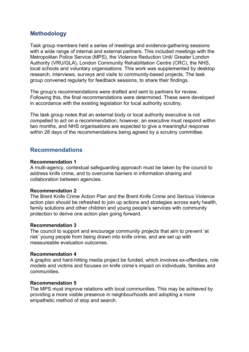# **Methodology**

Task group members held a series of meetings and evidence-gathering sessions with a wide range of internal and external partners. This included meetings with the Metropolitan Police Service (MPS), the Violence Reduction Unit/ Greater London Authority (VRU/GLA), London Community Rehabilitation Centre (CRC), the NHS, local schools and voluntary organisations. This work was supplemented by desktop research, interviews, surveys and visits to community-based projects. The task group convened regularly for feedback sessions, to share their findings.

The group's recommendations were drafted and sent to partners for review. Following this, the final recommendations were determined. These were developed in accordance with the existing legislation for local authority scrutiny.

The task group notes that an external body or local authority executive is not compelled to act on a recommendation; however, an executive must respond within two months, and NHS organisations are expected to give a meaningful response within 28 days of the recommendations being agreed by a scrutiny committee.

# **Recommendations**

#### **Recommendation 1**

A multi-agency, contextual safeguarding approach must be taken by the council to address knife crime, and to overcome barriers in information sharing and collaboration between agencies.

# **Recommendation 2**

The Brent Knife Crime Action Plan and the Brent Knife Crime and Serious Violence action plan should be refreshed to join up actions and strategies across early health, family solutions and other children and young people's services with community protection to derive one action plan going forward.

# **Recommendation 3**

The council to support and encourage community projects that aim to prevent 'at risk' young people from being drawn into knife crime, and are set up with measureable evaluation outcomes.

# **Recommendation 4**

A graphic and hard-hitting media project be funded, which involves ex-offenders, role models and victims and focuses on knife crime's impact on individuals, families and communities.

#### **Recommendation 5**

The MPS must improve relations with local communities. This may be achieved by providing a more visible presence in neighbourhoods and adopting a more empathetic method of stop and search.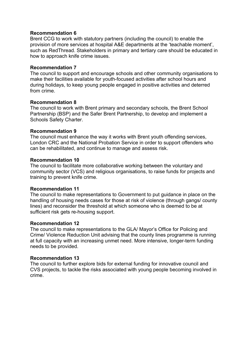# **Recommendation 6**

Brent CCG to work with statutory partners (including the council) to enable the provision of more services at hospital A&E departments at the 'teachable moment', such as RedThread. Stakeholders in primary and tertiary care should be educated in how to approach knife crime issues.

# **Recommendation 7**

The council to support and encourage schools and other community organisations to make their facilities available for youth-focused activities after school hours and during holidays, to keep young people engaged in positive activities and deterred from crime.

#### **Recommendation 8**

The council to work with Brent primary and secondary schools, the Brent School Partnership (BSP) and the Safer Brent Partnership, to develop and implement a Schools Safety Charter.

# **Recommendation 9**

The council must enhance the way it works with Brent youth offending services, London CRC and the National Probation Service in order to support offenders who can be rehabilitated, and continue to manage and assess risk.

#### **Recommendation 10**

The council to facilitate more collaborative working between the voluntary and community sector (VCS) and religious organisations, to raise funds for projects and training to prevent knife crime.

# **Recommendation 11**

The council to make representations to Government to put guidance in place on the handling of housing needs cases for those at risk of violence (through gangs/ county lines) and reconsider the threshold at which someone who is deemed to be at sufficient risk gets re-housing support.

# **Recommendation 12**

The council to make representations to the GLA/ Mayor's Office for Policing and Crime/ Violence Reduction Unit advising that the county lines programme is running at full capacity with an increasing unmet need. More intensive, longer-term funding needs to be provided.

# **Recommendation 13**

The council to further explore bids for external funding for innovative council and CVS projects, to tackle the risks associated with young people becoming involved in crime.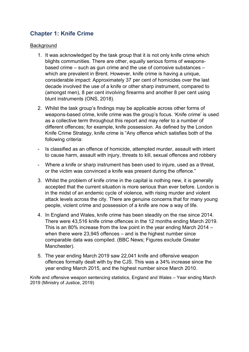# **Chapter 1: Knife Crime**

# **Background**

- 1. It was acknowledged by the task group that it is not only knife crime which blights communities. There are other, equally serious forms of weaponsbased crime – such as gun crime and the use of corrosive substances – which are prevalent in Brent. However, knife crime is having a unique, considerable impact: Approximately 37 per cent of homicides over the last decade involved the use of a knife or other sharp instrument, compared to (amongst men), 8 per cent involving firearms and another 8 per cent using blunt instruments (ONS, 2018).
- 2. Whilst the task group's findings may be applicable across other forms of weapons-based crime, knife crime was the group's focus. 'Knife crime' is used as a collective term throughout this report and may refer to a number of different offences; for example, knife possession. As defined by the London Knife Crime Strategy, knife crime is "Any offence which satisfies both of the following criteria:
- Is classified as an offence of homicide, attempted murder, assault with intent to cause harm, assault with injury, threats to kill, sexual offences and robbery
- Where a knife or sharp instrument has been used to injure, used as a threat, or the victim was convinced a knife was present during the offence."
- 3. Whilst the problem of knife crime in the capital is nothing new, it is generally accepted that the current situation is more serious than ever before. London is in the midst of an endemic cycle of violence, with rising murder and violent attack levels across the city. There are genuine concerns that for many young people, violent crime and possession of a knife are now a way of life.
- 4. In England and Wales, knife crime has been steadily on the rise since 2014. There were 43,516 knife crime offences in the 12 months ending March 2019. This is an 80% increase from the low point in the year ending March 2014 – when there were 23,945 offences – and is the highest number since comparable data was compiled. (BBC News; Figures exclude Greater Manchester).
- 5. The year ending March 2019 saw 22,041 knife and offensive weapon offences formally dealt with by the CJS. This was a 34% increase since the year ending March 2015, and the highest number since March 2010.

Knife and offensive weapon sentencing statistics, England and Wales – Year ending March 2019 (Ministry of Justice, 2019)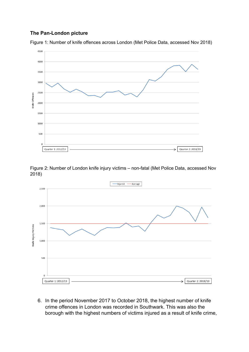# **The Pan-London picture**



Figure 1: Number of knife offences across London (Met Police Data, accessed Nov 2018)

Figure 2: Number of London knife injury victims – non-fatal (Met Police Data, accessed Nov 2018)



6. In the period November 2017 to October 2018, the highest number of knife crime offences in London was recorded in Southwark. This was also the borough with the highest numbers of victims injured as a result of knife crime,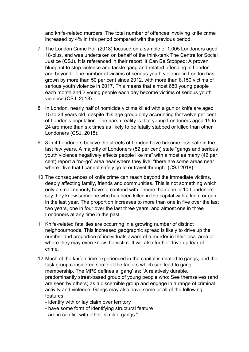and knife-related murders. The total number of offences involving knife crime increased by 4% in this period compared with the previous period.

- 7. The London Crime Poll (2018) focused on a sample of 1,005 Londoners aged 18-plus, and was undertaken on behalf of the think-tank The Centre for Social Justice (CSJ). It is referenced in their report 'It Can Be Stopped: A proven blueprint to stop violence and tackle gang and related offending in London and beyond'. The number of victims of serious youth violence in London has grown by more than 50 per cent since 2012, with more than 8,150 victims of serious youth violence in 2017. This means that almost 680 young people each month and 2 young people each day become victims of serious youth violence (CSJ, 2018).
- 8. In London, nearly half of homicide victims killed with a gun or knife are aged 15 to 24 years old, despite this age group only accounting for twelve per cent of London's population. The harsh reality is that young Londoners aged 15 to 24 are more than six times as likely to be fatally stabbed or killed than other Londoners (CSJ, 2018).
- 9. 3 in 4 Londoners believe the streets of London have become less safe in the last few years. A majority of Londoners (52 per cent) state "gangs and serious youth violence negatively affects people like me" with almost as many (46 per cent) report a "no-go" area near where they live: "there are some areas near where I live that I cannot safely go to or travel through" (CSJ 2018).
- 10.The consequences of knife crime can reach beyond the immediate victims, deeply affecting family, friends and communities. This is not something which only a small minority have to contend with – more than one in 10 Londoners say they know someone who has been killed in the capital with a knife or gun in the last year*.* The proportion increases to more than one in five over the last two years, one in four over the last three years, and almost one in three Londoners at any time in the past.
- 11.Knife-related fatalities are occurring in a growing number of distinct neighbourhoods. This increased geographic spread is likely to drive up the number and proportion of individuals aware of a murder in their local area or where they may even know the victim. It will also further drive up fear of crime.
- 12.Much of the knife crime experienced in the capital is related to gangs, and the task group considered some of the factors which can lead to gang membership. The MPS defines a 'gang' as: "A relatively durable, predominantly street-based group of young people who: See themselves (and are seen by others) as a discernible group and engage in a range of criminal activity and violence. Gangs may also have some or all of the following features:
	- identify with or lay claim over territory
	- have some form of identifying structural feature
	- are in conflict with other, similar, gangs."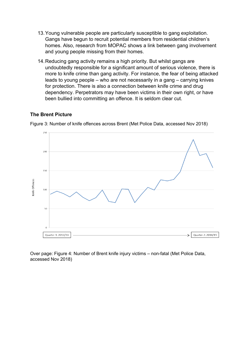- 13.Young vulnerable people are particularly susceptible to gang exploitation. Gangs have begun to recruit potential members from residential children's homes. Also, research from MOPAC shows a link between gang involvement and young people missing from their homes.
- 14.Reducing gang activity remains a high priority. But whilst gangs are undoubtedly responsible for a significant amount of serious violence, there is more to knife crime than gang activity. For instance, the fear of being attacked leads to young people – who are not necessarily in a gang – carrying knives for protection. There is also a connection between knife crime and drug dependency. Perpetrators may have been victims in their own right, or have been bullied into committing an offence. It is seldom clear cut.

# **The Brent Picture**



Figure 3: Number of knife offences across Brent (Met Police Data, accessed Nov 2018)

Over page: Figure 4: Number of Brent knife injury victims – non-fatal (Met Police Data, accessed Nov 2018)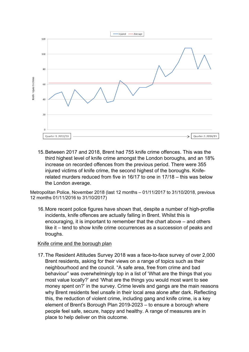

15.Between 2017 and 2018, Brent had 755 knife crime offences. This was the third highest level of knife crime amongst the London boroughs, and an 18% increase on recorded offences from the previous period. There were 355 injured victims of knife crime, the second highest of the boroughs. Kniferelated murders reduced from five in 16/17 to one in 17/18 – this was below the London average.

Metropolitan Police, November 2018 (last 12 months – 01/11/2017 to 31/10/2018, previous 12 months 01/11/2016 to 31/10/2017)

16.More recent police figures have shown that, despite a number of high-profile incidents, knife offences are actually falling in Brent. Whilst this is encouraging, it is important to remember that the chart above – and others like it – tend to show knife crime occurrences as a succession of peaks and troughs.

# Knife crime and the borough plan

17.The Resident Attitudes Survey 2018 was a face-to-face survey of over 2,000 Brent residents, asking for their views on a range of topics such as their neighbourhood and the council. "A safe area, free from crime and bad behaviour" was overwhelmingly top in a list of 'What are the things that you most value locally?' and 'What are the things you would most want to see money spent on?' in the survey. Crime levels and gangs are the main reasons why Brent residents feel unsafe in their local area alone after dark. Reflecting this, the reduction of violent crime, including gang and knife crime, is a key element of Brent's Borough Plan 2019-2023 – to ensure a borough where people feel safe, secure, happy and healthy. A range of measures are in place to help deliver on this outcome.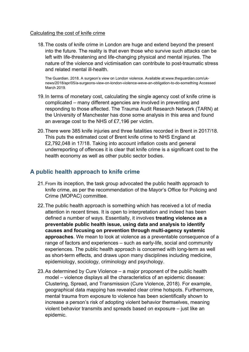# Calculating the cost of knife crime

18.The costs of knife crime in London are huge and extend beyond the present into the future. The reality is that even those who survive such attacks can be left with life-threatening and life-changing physical and mental injuries. The nature of the violence and victimisation can contribute to post-traumatic stress and related mental ill-health.

The Guardian. 2018. A surgeon's view on London violence. Available at:www.theguardian.com/uknews/2018/apr/05/a-surgeons-view-on-london-violence-weve-an-obligation-to-do-something Accessed March 2019.

- 19.In terms of monetary cost, calculating the single agency cost of knife crime is complicated – many different agencies are involved in preventing and responding to those affected. The Trauma Audit Research Network (TARN) at the University of Manchester has done some analysis in this area and found an average cost to the NHS of £7,196 per victim.
- 20.There were 385 knife injuries and three fatalities recorded in Brent in 2017/18. This puts the estimated cost of Brent knife crime to NHS England at £2,792,048 in 17/18. Taking into account inflation costs and general underreporting of offences it is clear that knife crime is a significant cost to the health economy as well as other public sector bodies.

# **A public health approach to knife crime**

- 21.From its inception, the task group advocated the public health approach to knife crime, as per the recommendation of the Mayor's Office for Policing and Crime (MOPAC) committee.
- 22.The public health approach is something which has received a lot of media attention in recent times. It is open to interpretation and indeed has been defined a number of ways. Essentially, it involves **treating violence as a preventable public health issue, using data and analysis to identify causes and focusing on prevention through multi-agency systemic approaches**. We mean to look at violence as a preventable consequence of a range of factors and experiences – such as early-life, social and community experiences. The public health approach is concerned with long-term as well as short-term effects, and draws upon many disciplines including medicine, epidemiology, sociology, criminology and psychology.
- 23.As determined by Cure Violence a major proponent of the public health model – violence displays all the characteristics of an epidemic disease: Clustering, Spread, and Transmission (Cure Violence, 2018). For example, geographical data mapping has revealed clear crime hotspots. Furthermore, mental trauma from exposure to violence has been scientifically shown to increase a person's risk of adopting violent behavior themselves, meaning violent behavior transmits and spreads based on exposure – just like an epidemic.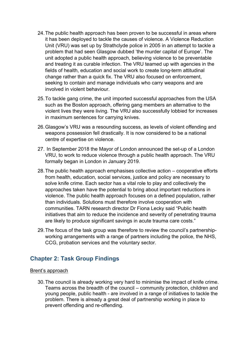- 24.The public health approach has been proven to be successful in areas where it has been deployed to tackle the causes of violence. A Violence Reduction Unit (VRU) was set up by Strathclyde police in 2005 in an attempt to tackle a problem that had seen Glasgow dubbed 'the murder capital of Europe'. The unit adopted a public health approach, believing violence to be preventable and treating it as curable infection. The VRU teamed up with agencies in the fields of health, education and social work to create long-term attitudinal change rather than a quick fix. The VRU also focused on enforcement, seeking to contain and manage individuals who carry weapons and are involved in violent behaviour.
- 25.To tackle gang crime, the unit imported successful approaches from the USA such as the Boston approach, offering gang members an alternative to the violent lives they were living. The VRU also successfully lobbied for increases in maximum sentences for carrying knives.
- 26.Glasgow's VRU was a resounding success, as levels of violent offending and weapons possession fell drastically. It is now considered to be a national centre of expertise on violence.
- 27. In September 2018 the Mayor of London announced the set-up of a London VRU, to work to reduce violence through a public health approach. The VRU formally began in London in January 2019.
- 28.The public health approach emphasises collective action cooperative efforts from health, education, social services, justice and policy are necessary to solve knife crime. Each sector has a vital role to play and collectively the approaches taken have the potential to bring about important reductions in violence. The public health approach focuses on a defined population, rather than individuals. Solutions must therefore involve cooperation with communities. TARN research director Dr Fiona Lecky said "Public health initiatives that aim to reduce the incidence and severity of penetrating trauma are likely to produce significant savings in acute trauma care costs."
- 29.The focus of the task group was therefore to review the council's partnershipworking arrangements with a range of partners including the police, the NHS, CCG, probation services and the voluntary sector.

# **Chapter 2: Task Group Findings**

# Brent's approach

30.The council is already working very hard to minimise the impact of knife crime. Teams across the breadth of the council – community protection, children and young people, public health - are involved in a range of initiatives to tackle the problem. There is already a great deal of partnership working in place to prevent offending and re-offending.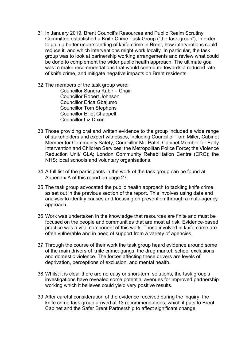- 31.In January 2019, Brent Council's Resources and Public Realm Scrutiny Committee established a Knife Crime Task Group ("the task group"), in order to gain a better understanding of knife crime in Brent, how interventions could reduce it, and which interventions might work locally. In particular, the task group was to look at partnership working arrangements and review what could be done to complement the wider public health approach. The ultimate goal was to make recommendations that would contribute towards a reduced rate of knife crime, and mitigate negative impacts on Brent residents.
- 32.The members of the task group were: Councillor Sandra Kabir – Chair Councillor Robert Johnson Councillor Erica Gbajumo Councillor Tom Stephens Councillor Elliot Chappell Councillor Liz Dixon
- 33.Those providing oral and written evidence to the group included a wide range of stakeholders and expert witnesses, including Councillor Tom Miller, Cabinet Member for Community Safety; Councillor Mili Patel, Cabinet Member for Early Intervention and Children Services; the Metropolitan Police Force; the Violence Reduction Unit/ GLA; London Community Rehabilitation Centre (CRC); the NHS; local schools and voluntary organisations.
- 34.A full list of the participants in the work of the task group can be found at Appendix A of this report on page 27.
- 35.The task group advocated the public health approach to tackling knife crime as set out in the previous section of the report. This involves using data and analysis to identify causes and focusing on prevention through a multi-agency approach.
- 36.Work was undertaken in the knowledge that resources are finite and must be focused on the people and communities that are most at risk. Evidence-based practice was a vital component of this work. Those involved in knife crime are often vulnerable and in need of support from a variety of agencies.
- 37.Through the course of their work the task group heard evidence around some of the main drivers of knife crime: gangs, the drug market, school exclusions and domestic violence. The forces affecting these drivers are levels of deprivation, perceptions of exclusion, and mental health.
- 38.Whilst it is clear there are no easy or short-term solutions, the task group's investigations have revealed some potential avenues for improved partnership working which it believes could yield very positive results.
- 39.After careful consideration of the evidence received during the inquiry, the knife crime task group arrived at 13 recommendations, which it puts to Brent Cabinet and the Safer Brent Partnership to affect significant change.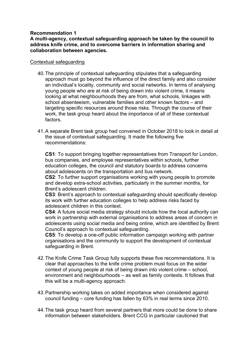# **Recommendation 1**

**A multi-agency, contextual safeguarding approach be taken by the council to address knife crime, and to overcome barriers in information sharing and collaboration between agencies.**

#### Contextual safeguarding

- 40.The principle of contextual safeguarding stipulates that a safeguarding approach must go beyond the influence of the direct family and also consider an individual's locality, community and social networks. In terms of analysing young people who are at risk of being drawn into violent crime, it means looking at what neighbourhoods they are from, what schools, linkages with school absenteeism, vulnerable families and other known factors – and targeting specific resources around those risks. Through the course of their work, the task group heard about the importance of all of these contextual factors.
- 41.A separate Brent task group had convened in October 2018 to look in detail at the issue of contextual safeguarding. It made the following five recommendations:

**CS1**: To support bringing together representatives from Transport for London, bus companies, and employee representatives within schools, further education colleges, the council and statutory boards to address concerns about adolescents on the transportation and bus network.

**CS2**: To further support organisations working with young people to promote and develop extra-school activities, particularly in the summer months, for Brent's adolescent children.

**CS3**: Brent's approach to contextual safeguarding should specifically develop its work with further education colleges to help address risks faced by adolescent children in this context.

**CS4**: A future social media strategy should include how the local authority can work in partnership with external organisations to address areas of concern in adolescents using social media and being online, which are identified by Brent Council's approach to contextual safeguarding.

**CS5**: To develop a one-off public information campaign working with partner organisations and the community to support the development of contextual safeguarding in Brent.

- 42.The Knife Crime Task Group fully supports these five recommendations. It is clear that approaches to the knife crime problem must focus on the wider context of young people at risk of being drawn into violent crime – school, environment and neighbourhoods – as well as family contexts. It follows that this will be a multi-agency approach.
- 43.Partnership working takes on added importance when considered against council funding – core funding has fallen by 63% in real terms since 2010.
- 44.The task group heard from several partners that more could be done to share information between stakeholders. Brent CCG in particular cautioned that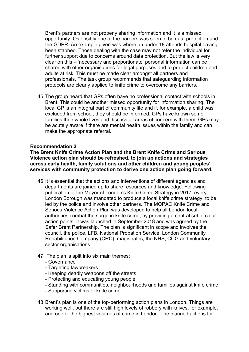Brent's partners are not properly sharing information and it is a missed opportunity. Ostensibly one of the barriers was seen to be data protection and the GDPR. An example given was where an under-18 attends hospital having been stabbed. Those dealing with the case may not refer the individual for further support due to concerns around data protection. But the law is very clear on this – 'necessary and proportionate' personal information can be shared with other organisations for legal purposes and to protect children and adults at risk. This must be made clear amongst all partners and professionals. The task group recommends that safeguarding information protocols are clearly applied to knife crime to overcome any barriers.

45.The group heard that GPs often have no professional contact with schools in Brent. This could be another missed opportunity for information sharing. The local GP is an integral part of community life and if, for example, a child was excluded from school, they should be informed. GPs have known some families their whole lives and discuss all areas of concern with them. GPs may be acutely aware if there are mental health issues within the family and can make the appropriate referral.

# **Recommendation 2**

**The Brent Knife Crime Action Plan and the Brent Knife Crime and Serious Violence action plan should be refreshed, to join up actions and strategies across early health, family solutions and other children and young peoples' services with community protection to derive one action plan going forward.**

- 46.It is essential that the actions and interventions of different agencies and departments are joined up to share resources and knowledge. Following publication of the Mayor of London's Knife Crime Strategy in 2017, every London Borough was mandated to produce a local knife crime strategy, to be led by the police and involve other partners. The MOPAC Knife Crime and Serious Violence Action Plan was developed to help all London local authorities combat the surge in knife crime, by providing a central set of clear action points. It was launched in September 2018 and was agreed by the Safer Brent Partnership. The plan is significant in scope and involves the council, the police, LFB, National Probation Service, London Community Rehabilitation Company (CRC), magistrates, the NHS, CCG and voluntary sector organisations.
- 47. The plan is split into six main themes:
	- Governance
	- Targeting lawbreakers
	- Keeping deadly weapons off the streets
	- Protecting and educating young people
	- Standing with communities, neighbourhoods and families against knife crime
	- Supporting victims of knife crime
- 48.Brent's plan is one of the top-performing action plans in London. Things are working well, but there are still high levels of robbery with knives, for example, and one of the highest volumes of crime in London. The planned actions for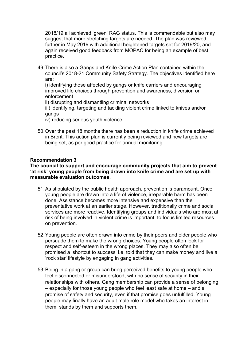2018/19 all achieved 'green' RAG status. This is commendable but also may suggest that more stretching targets are needed. The plan was reviewed further in May 2019 with additional heightened targets set for 2019/20, and again received good feedback from MOPAC for being an example of best practice.

49.There is also a Gangs and Knife Crime Action Plan contained within the council's 2018-21 Community Safety Strategy. The objectives identified here are:

i) identifying those affected by gangs or knife carriers and encouraging improved life choices through prevention and awareness, diversion or enforcement

ii) disrupting and dismantling criminal networks

iii) identifying, targeting and tackling violent crime linked to knives and/or gangs

- iv) reducing serious youth violence
- 50.Over the past 18 months there has been a reduction in knife crime achieved in Brent. This action plan is currently being reviewed and new targets are being set, as per good practice for annual monitoring.

#### **Recommendation 3**

**The council to support and encourage community projects that aim to prevent 'at risk' young people from being drawn into knife crime and are set up with measurable evaluation outcomes.**

- 51.As stipulated by the public health approach, prevention is paramount. Once young people are drawn into a life of violence, irreparable harm has been done. Assistance becomes more intensive and expensive than the preventative work at an earlier stage. However, traditionally crime and social services are more reactive. Identifying groups and individuals who are most at risk of being involved in violent crime is important, to focus limited resources on prevention.
- 52.Young people are often drawn into crime by their peers and older people who persuade them to make the wrong choices. Young people often look for respect and self-esteem in the wrong places. They may also often be promised a 'shortcut to success' i.e. told that they can make money and live a 'rock star' lifestyle by engaging in gang activities.
- 53.Being in a gang or group can bring perceived benefits to young people who feel disconnected or misunderstood, with no sense of security in their relationships with others. Gang membership can provide a sense of belonging – especially for those young people who feel least safe at home – and a promise of safety and security, even if that promise goes unfulfilled. Young people may finally have an adult male role model who takes an interest in them, stands by them and supports them.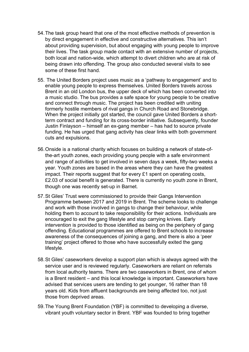- 54.The task group heard that one of the most effective methods of prevention is by direct engagement in effective and constructive alternatives. This isn't about providing supervision, but about engaging with young people to improve their lives. The task group made contact with an extensive number of projects, both local and nation-wide, which attempt to divert children who are at risk of being drawn into offending. The group also conducted several visits to see some of these first hand.
- 55. The United Borders project uses music as a 'pathway to engagement' and to enable young people to express themselves. United Borders travels across Brent in an old London bus, the upper deck of which has been converted into a music studio. The bus provides a safe space for young people to be creative and connect through music. The project has been credited with uniting formerly hostile members of rival gangs in Church Road and Stonebridge. When the project initially got started, the council gave United Borders a shortterm contract and funding for its cross-border initiative. Subsequently, founder Justin Finlayson – himself an ex-gang member – has had to source private funding. He has urged that gang activity has clear links with both government cuts and expulsions.
- 56.Onside is a national charity which focuses on building a network of state-ofthe-art youth zones, each providing young people with a safe environment and range of activities to get involved in seven days a week, fifty-two weeks a year. Youth zones are based in the areas where they can have the greatest impact. Their reports suggest that for every £1 spent on operating costs, £2.03 of social benefit is generated. There is currently no youth zone in Brent, though one was recently set-up in Barnet.
- 57.St Giles' Trust were commissioned to provide their Gangs Intervention Programme between 2017 and 2019 in Brent. The scheme looks to challenge and work with those involved in gangs to change their behaviour, while holding them to account to take responsibility for their actions. Individuals are encouraged to exit the gang lifestyle and stop carrying knives. Early intervention is provided to those identified as being on the periphery of gang offending. Educational programmes are offered to Brent schools to increase awareness of the consequences of joining a gang, and there is also a 'peer training' project offered to those who have successfully exited the gang lifestyle.
- 58.St Giles' caseworkers develop a support plan which is always agreed with the service user and is reviewed regularly. Caseworkers are reliant on referrals from local authority teams. There are two caseworkers in Brent, one of whom is a Brent resident – and this local knowledge is important. Caseworkers have advised that services users are tending to get younger, 16 rather than 18 years old. Kids from affluent backgrounds are being affected too, not just those from deprived areas.
- 59.The Young Brent Foundation (YBF) is committed to developing a diverse, vibrant youth voluntary sector in Brent. YBF was founded to bring together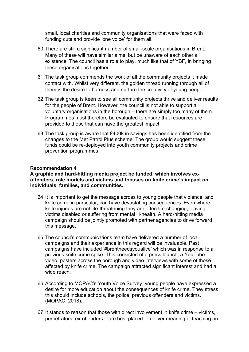small, local charities and community organisations that were faced with funding cuts and provide 'one voice' for them all.

- 60.There are still a significant number of small-scale organisations in Brent. Many of these will have similar aims, but be unaware of each other's existence. The council has a role to play, much like that of YBF, in bringing these organisations together.
- 61.The task group commends the work of all the community projects it made contact with. Whilst very different, the golden thread running through all of them is the desire to harness and nurture the creativity of young people.
- 62.The task group is keen to see all community projects thrive and deliver results for the people of Brent. However, the council is not able to support all voluntary organisations in the borough – there are simply too many of them. Programmes must therefore be evaluated to ensure that resources are provided to those that can have the greatest impact.
- 63.The task group is aware that £400k in savings has been identified from the changes to the Met Patrol Plus scheme. The group would suggest these funds could be re-deployed into youth community projects and crime prevention programmes.

# **Recommendation 4**

#### **A graphic and hard-hitting media project be funded, which involves exoffenders, role models and victims and focuses on knife crime's impact on individuals, families, and communities.**

- 64.It is important to get the message across to young people that violence, and knife crime in particular, can have devastating consequences. Even where knife injuries are not life-threatening they are often life-changing, leaving victims disabled or suffering from mental ill-health. A hard-hitting media campaign should be jointly promoted with partner agencies to drive forward this message.
- 65.The council's communications team have delivered a number of local campaigns and their experience in this regard will be invaluable. Past campaigns have included '#brentneedsyoualive' which was in response to a previous knife crime spike. This consisted of a press launch, a YouTube video, posters across the borough and video interviews with some of those affected by knife crime. The campaign attracted significant interest and had a wide reach.
- 66.According to MOPAC's Youth Voice Survey, young people have expressed a desire for more education about the consequences of knife crime. They stress this should include schools, the police, previous offenders and victims. (MOPAC, 2018).
- 67.It stands to reason that those with direct involvement in knife crime victims, perpetrators, ex-offenders – are best placed to deliver meaningful teaching on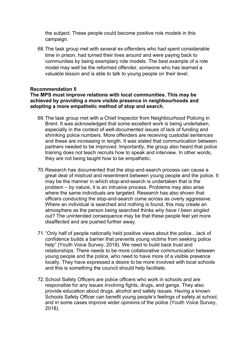the subject. These people could become positive role models in this campaign.

68.The task group met with several ex-offenders who had spent considerable time in prison, had turned their lives around and were paying back to communities by being exemplary role models. The best example of a role model may well be the reformed offender, someone who has learned a valuable lesson and is able to talk to young people on their level.

# **Recommendation 5**

#### **The MPS must improve relations with local communities. This may be achieved by providing a more visible presence in neighbourhoods and adopting a more empathetic method of stop and search.**

- 69.The task group met with a Chief Inspector from Neighbourhood Policing in Brent. It was acknowledged that some excellent work is being undertaken, especially in the context of well-documented issues of lack of funding and shrinking police numbers. More offenders are receiving custodial sentences and these are increasing in length. It was stated that communication between partners needed to be improved. Importantly, the group also heard that police training does not teach recruits how to speak and interview. In other words, they are not being taught how to be empathetic.
- 70.Research has documented that the stop-and-search process can cause a great deal of mistrust and resentment between young people and the police. It may be the manner in which stop-and-search is undertaken that is the problem – by nature, it is an intrusive process. Problems may also arise where the same individuals are targeted. Research has also shown that officers conducting the stop-and-search come across as overly aggressive. Where an individual is searched and nothing is found, this may create an atmosphere as the person being searched thinks *why have I been singled out?* The unintended consequence may be that these people feel yet more disaffected and are pushed further away.
- 71."Only half of people nationally held positive views about the police…lack of confidence builds a barrier that prevents young victims from seeking police help" (Youth Voice Survey, 2018). We need to build back trust and relationships. There needs to be more collaborative communication between young people and the police, who need to have more of a visible presence locally. They have expressed a desire to be more involved with local schools and this is something the council should help facilitate.
- 72.School Safety Officers are police officers who work in schools and are responsible for any issues involving fights, drugs, and gangs. They also provide education about drugs, alcohol and safety issues. Having a known Schools Safety Officer can benefit young people's feelings of safety at school, and in some cases improve wider opinions of the police (Youth Voice Survey, 2018).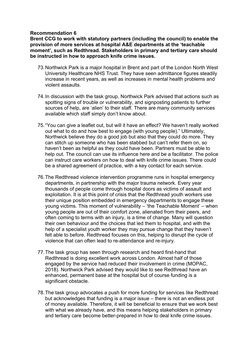# **Recommendation 6**

**Brent CCG to work with statutory partners (including the council) to enable the provision of more services at hospital A&E departments at the 'teachable moment', such as Redthread. Stakeholders in primary and tertiary care should be instructed in how to approach knife crime issues.**

- 73.Northwick Park is a major hospital in Brent and part of the London North West University Healthcare NHS Trust. They have seen admittance figures steadily increase in recent years, as well as increases in mental health problems and violent assaults.
- 74.In discussion with the task group, Northwick Park advised that actions such as spotting signs of trouble or vulnerability, and signposting patients to further sources of help, are 'alien' to their staff. There are many community services available which staff simply don't know about.
- 75."You can give a leaflet out, but will it have an effect? We haven't really worked out what to do and how best to engage (with young people)." Ultimately, Northwick believe they do a good job but also that they could do more. They can stitch up someone who has been stabbed but can't refer them on, so haven't been as helpful as they could have been. Partners must be able to help out. The council can use its influence here and be a facilitator. The police can instruct care workers on how to deal with knife crime issues. There could be a shared agreement of practice, with a key contact for each service.
- 76.The Redthread violence intervention programme runs in hospital emergency departments, in partnership with the major trauma network. Every year thousands of people come through hospital doors as victims of assault and exploitation. It is at this point of crisis that the Redthread youth workers use their unique position embedded in emergency departments to engage these young victims. This moment of vulnerability – 'the Teachable Moment' – when young people are out of their comfort zone, alienated from their peers, and often coming to terms with an injury, is a time of change. Many will question their own behaviour and the choices that led them to hospital, and with the help of a specialist youth worker they may pursue change that they haven't felt able to before. Redthread focuses on this, helping to disrupt the cycle of violence that can often lead to re-attendance and re-injury.
- 77.The task group has seen through research and heard first-hand that Redthread is doing excellent work across London. Almost half of those engaged by the service had reduced their involvement in crime (MOPAC, 2018). Northwick Park advised they would like to see Redthread have an enhanced, permanent base at the hospital but of course funding is a significant obstacle.
- 78.The task group advocates a push for more funding for services like Redthread but acknowledges that funding is a major issue – there is not an endless pot of money available. Therefore, it will be beneficial to ensure that we work best with what we already have, and this means helping stakeholders in primary and tertiary care become better-prepared in how to deal knife crime issues.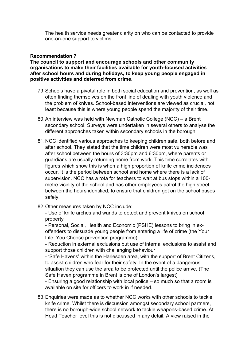The health service needs greater clarity on who can be contacted to provide one-on-one support to victims.

# **Recommendation 7**

**The council to support and encourage schools and other community organisations to make their facilities available for youth-focused activities after school hours and during holidays, to keep young people engaged in positive activities and deterred from crime.**

- 79.Schools have a pivotal role in both social education and prevention, as well as often finding themselves on the front line of dealing with youth violence and the problem of knives. School-based interventions are viewed as crucial, not least because this is where young people spend the majority of their time.
- 80.An interview was held with Newman Catholic College (NCC) a Brent secondary school. Surveys were undertaken in several others to analyse the different approaches taken within secondary schools in the borough.
- 81.NCC identified various approaches to keeping children safe, both before and after school. They stated that the time children were most vulnerable was after school between the hours of 3:30pm and 6:30pm, where parents or guardians are usually returning home from work. This time correlates with figures which show this is when a high proportion of knife crime incidences occur. It is the period between school and home where there is a lack of supervision. NCC has a rota for teachers to wait at bus stops within a 100 metre vicinity of the school and has other employees patrol the high street between the hours identified, to ensure that children get on the school buses safely.
- 82.Other measures taken by NCC include:

- Use of knife arches and wands to detect and prevent knives on school property

- Personal, Social, Health and Economic (PSHE) lessons to bring in exoffenders to dissuade young people from entering a life of crime (the Your Life, You Choose prevention programme)

- Reduction in external exclusions but use of internal exclusions to assist and support those children with challenging behaviour

- 'Safe Havens' within the Harlesden area, with the support of Brent Citizens, to assist children who fear for their safety. In the event of a dangerous situation they can use the area to be protected until the police arrive. (The Safe Haven programme in Brent is one of London's largest)

- Ensuring a good relationship with local police – so much so that a room is available on site for officers to work in if needed.

83.Enquiries were made as to whether NCC works with other schools to tackle knife crime. Whilst there is discussion amongst secondary school partners, there is no borough-wide school network to tackle weapons-based crime. At Head Teacher level this is not discussed in any detail. A view raised in the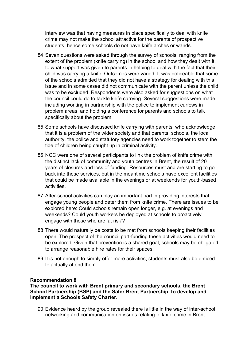interview was that having measures in place specifically to deal with knife crime may not make the school attractive for the parents of prospective students, hence some schools do not have knife arches or wands.

- 84.Seven questions were asked through the survey of schools, ranging from the extent of the problem (knife carrying) in the school and how they dealt with it, to what support was given to parents in helping to deal with the fact that their child was carrying a knife. Outcomes were varied. It was noticeable that some of the schools admitted that they did not have a strategy for dealing with this issue and in some cases did not communicate with the parent unless the child was to be excluded. Respondents were also asked for suggestions on what the council could do to tackle knife carrying. Several suggestions were made, including working in partnership with the police to implement curfews in problem areas; and holding a conference for parents and schools to talk specifically about the problem.
- 85.Some schools have discussed knife carrying with parents, who acknowledge that it is a problem of the wider society and that parents, schools, the local authority, the police and statutory agencies need to work together to stem the tide of children being caught up in criminal activity.
- 86.NCC were one of several participants to link the problem of knife crime with the distinct lack of community and youth centres in Brent, the result of 20 years of closures and loss of funding. Resources must and are starting to go back into these services, but in the meantime schools have excellent facilities that could be made available in the evenings or at weekends for youth-based activities.
- 87.After-school activities can play an important part in providing interests that engage young people and deter them from knife crime. There are issues to be explored here: Could schools remain open longer, e.g. at evenings and weekends? Could youth workers be deployed at schools to proactively engage with those who are 'at risk'?
- 88.There would naturally be costs to be met from schools keeping their facilities open. The prospect of the council part-funding these activities would need to be explored. Given that prevention is a shared goal, schools may be obligated to arrange reasonable hire rates for their spaces.
- 89.It is not enough to simply offer more activities; students must also be enticed to actually attend them.

# **Recommendation 8**

**The council to work with Brent primary and secondary schools, the Brent School Partnership (BSP) and the Safer Brent Partnership, to develop and implement a Schools Safety Charter.**

90.Evidence heard by the group revealed there is little in the way of inter-school networking and communication on issues relating to knife crime in Brent.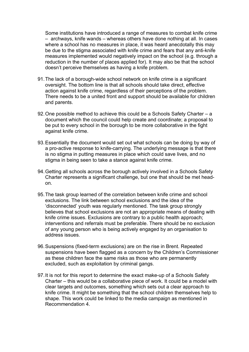Some institutions have introduced a range of measures to combat knife crime – archways, knife wands – whereas others have done nothing at all. In cases where a school has no measures in place, it was heard anecdotally this may be due to the stigma associated with knife crime and fears that any anti-knife measures implemented would negatively impact on the school (e.g. through a reduction in the number of places applied for). It may also be that the school doesn't perceive themselves as having a knife problem.

- 91.The lack of a borough-wide school network on knife crime is a significant oversight. The bottom line is that all schools should take direct, effective action against knife crime, regardless of their perceptions of the problem. There needs to be a united front and support should be available for children and parents.
- 92.One possible method to achieve this could be a Schools Safety Charter a document which the council could help create and coordinate; a proposal to be put to every school in the borough to be more collaborative in the fight against knife crime.
- 93.Essentially the document would set out what schools can be doing by way of a pro-active response to knife-carrying. The underlying message is that there is no stigma in putting measures in place which could save lives, and no stigma in being seen to take a stance against knife crime.
- 94.Getting all schools across the borough actively involved in a Schools Safety Charter represents a significant challenge, but one that should be met headon.
- 95.The task group learned of the correlation between knife crime and school exclusions. The link between school exclusions and the idea of the 'disconnected' youth was regularly mentioned. The task group strongly believes that school exclusions are not an appropriate means of dealing with knife crime issues. Exclusions are contrary to a public health approach; interventions and referrals must be preferable. There should be no exclusion of any young person who is being actively engaged by an organisation to address issues.
- 96.Suspensions (fixed-term exclusions) are on the rise in Brent. Repeated suspensions have been flagged as a concern by the Children's Commissioner as these children face the same risks as those who are permanently excluded, such as exploitation by criminal gangs.
- 97.It is not for this report to determine the exact make-up of a Schools Safety Charter – this would be a collaborative piece of work. It could be a model with clear targets and outcomes, something which sets out a clear approach to knife crime. It might be something that the school children themselves help to shape. This work could be linked to the media campaign as mentioned in Recommendation 4.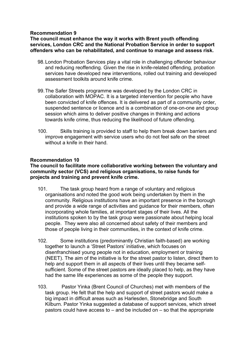# **Recommendation 9**

**The council must enhance the way it works with Brent youth offending services, London CRC and the National Probation Service in order to support offenders who can be rehabilitated, and continue to manage and assess risk.**

- 98.London Probation Services play a vital role in challenging offender behaviour and reducing reoffending. Given the rise in knife-related offending, probation services have developed new interventions, rolled out training and developed assessment toolkits around knife crime.
- 99.The Safer Streets programme was developed by the London CRC in collaboration with MOPAC. It is a targeted intervention for people who have been convicted of knife offences. It is delivered as part of a community order, suspended sentence or licence and is a combination of one-on-one and group session which aims to deliver positive changes in thinking and actions towards knife crime, thus reducing the likelihood of future offending.
- 100. Skills training is provided to staff to help them break down barriers and improve engagement with service users who do not feel safe on the street without a knife in their hand.

# **Recommendation 10**

**The council to facilitate more collaborative working between the voluntary and community sector (VCS) and religious organisations, to raise funds for projects and training and prevent knife crime.**

- 101. The task group heard from a range of voluntary and religious organisations and noted the good work being undertaken by them in the community. Religious institutions have an important presence in the borough and provide a wide range of activities and guidance for their members, often incorporating whole families, at important stages of their lives. All the institutions spoken to by the task group were passionate about helping local people. They were also all concerned about safety of their members and those of people living in their communities, in the context of knife crime.
- 102. Some institutions (predominantly Christian faith-based) are working together to launch a 'Street Pastors' initiative, which focuses on disenfranchised young people not in education, employment or training (NEET). The aim of the initiative is for the street pastor to listen, direct them to help and support them in all aspects of their lives until they became selfsufficient. Some of the street pastors are ideally placed to help, as they have had the same life experiences as some of the people they support.
- 103. Pastor Yinka (Brent Council of Churches) met with members of the task group. He felt that the help and support of street pastors would make a big impact in difficult areas such as Harlesden, Stonebridge and South Kilburn. Pastor Yinka suggested a database of support services, which street pastors could have access to – and be included on – so that the appropriate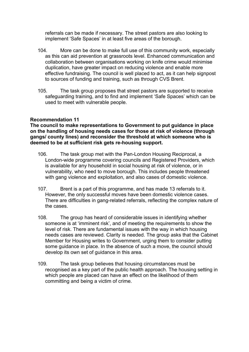referrals can be made if necessary. The street pastors are also looking to implement 'Safe Spaces' in at least five areas of the borough.

- 104. More can be done to make full use of this community work, especially as this can aid prevention at grassroots level. Enhanced communication and collaboration between organisations working on knife crime would minimise duplication, have greater impact on reducing violence and enable more effective fundraising. The council is well placed to act, as it can help signpost to sources of funding and training, such as through CVS Brent.
- 105. The task group proposes that street pastors are supported to receive safeguarding training, and to find and implement 'Safe Spaces' which can be used to meet with vulnerable people.

# **Recommendation 11**

**The council to make representations to Government to put guidance in place on the handling of housing needs cases for those at risk of violence (through gangs/ county lines) and reconsider the threshold at which someone who is deemed to be at sufficient risk gets re-housing support.**

- 106. The task group met with the Pan-London Housing Reciprocal, a London-wide programme covering councils and Registered Providers, which is available for any household in social housing at risk of violence, or in vulnerability, who need to move borough. This includes people threatened with gang violence and exploitation, and also cases of domestic violence.
- 107. Brent is a part of this programme, and has made 13 referrals to it. However, the only successful moves have been domestic violence cases. There are difficulties in gang-related referrals, reflecting the complex nature of the cases.
- 108. The group has heard of considerable issues in identifying whether someone is at 'imminent risk', and of meeting the requirements to show the level of risk. There are fundamental issues with the way in which housing needs cases are reviewed. Clarity is needed. The group asks that the Cabinet Member for Housing writes to Government, urging them to consider putting some guidance in place. In the absence of such a move, the council should develop its own set of guidance in this area.
- 109. The task group believes that housing circumstances must be recognised as a key part of the public health approach. The housing setting in which people are placed can have an effect on the likelihood of them committing and being a victim of crime.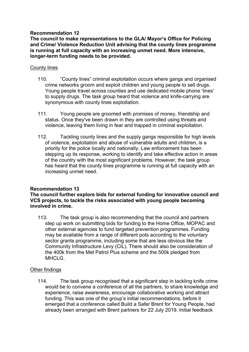# **Recommendation 12**

**The council to make representations to the GLA/ Mayor's Office for Policing and Crime/ Violence Reduction Unit advising that the county lines programme is running at full capacity with an increasing unmet need. More intensive, longer-term funding needs to be provided.**

# County lines

- 110. "County lines" criminal exploitation occurs where gangs and organised crime networks groom and exploit children and young people to sell drugs. Young people travel across counties and use dedicated mobile phone 'lines' to supply drugs. The task group heard that violence and knife-carrying are synonymous with county lines exploitation.
- 111. Young people are groomed with promises of money, friendship and status. Once they've been drawn in they are controlled using threats and violence, leaving them living in fear and trapped in criminal exploitation.
- 112. Tackling county lines and the supply gangs responsible for high levels of violence, exploitation and abuse of vulnerable adults and children, is a priority for the police locally and nationally. Law enforcement has been stepping up its response, working to identify and take effective action in areas of the country with the most significant problems. However, the task group has heard that the county lines programme is running at full capacity with an increasing unmet need.

# **Recommendation 13**

**The council further explore bids for external funding for innovative council and VCS projects, to tackle the risks associated with young people becoming involved in crime.**

113. The task group is also recommending that the council and partners step up work on submitting bids for funding to the Home Office, MOPAC and other external agencies to fund targeted prevention programmes. Funding may be available from a range of different pots according to the voluntary sector grants programme, including some that are less obvious like the Community Infrastructure Levy (CIL). There should also be consideration of the 400k from the Met Patrol Plus scheme and the 500k pledged from MHCLG.

# Other findings

114. The task group recognised that a significant step in tackling knife crime would be to convene a conference of all the partners, to share knowledge and experience, raise awareness, encourage collaborative working and attract funding. This was one of the group's initial recommendations, before it emerged that a conference called Build a Safer Brent for Young People, had already been arranged with Brent partners for 22 July 2019. Initial feedback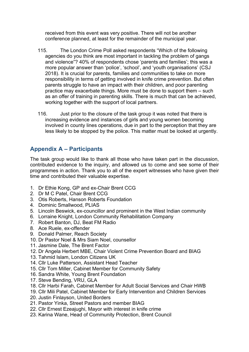received from this event was very positive. There will not be another conference planned, at least for the remainder of the municipal year.

- 115. The London Crime Poll asked respondents "Which of the following agencies do you think are most important in tackling the problem of gangs and violence"? 40% of respondents chose 'parents and families'; this was a more popular answer than 'police', 'school', and 'youth organisations' (CSJ 2018). It is crucial for parents, families and communities to take on more responsibility in terms of getting involved in knife crime prevention. But often parents struggle to have an impact with their children, and poor parenting practice may exacerbate things. More must be done to support them – such as an offer of training in parenting skills. There is much that can be achieved, working together with the support of local partners.
- 116. Just prior to the closure of the task group it was noted that there is increasing evidence and instances of girls and young women becoming involved in county lines operations, due in part to the perception that they are less likely to be stopped by the police. This matter must be looked at urgently.

# **Appendix A – Participants**

The task group would like to thank all those who have taken part in the discussion, contributed evidence to the inquiry, and allowed us to come and see some of their programmes in action. Thank you to all of the expert witnesses who have given their time and contributed their valuable expertise.

- 1. Dr Ethie Kong, GP and ex-Chair Brent CCG
- 2. Dr M C Patel, Chair Brent CCG
- 3. Otis Roberts, Hanson Roberts Foundation
- 4. Dominic Smallwood, PLIAS
- 5. Lincoln Beswick, ex-councillor and prominent in the West Indian community
- 6. Lorraine Knight, London Community Rehabilitation Company
- 7. Robert Banton, DJ, Beat FM Radio
- 8. Ace Ruele, ex-offender
- 9. Donald Palmer, Reach Society
- 10. Dr Pastor Noel & Mrs Siam Noel, counsellor
- 11. Jasmine Dale, The Brent Factor
- 12. Dr Angela Herbert MBE, Chair Violent Crime Prevention Board and BIAG
- 13. Tahmid Islam, London Citizens UK
- 14. Cllr Luke Patterson, Assistant Head Teacher
- 15. Cllr Tom Miller, Cabinet Member for Community Safety
- 16. Sandra White, Young Brent Foundation
- 17. Steve Bending, VRU, GLA
- 18. Cllr Harbi Farah, Cabinet Member for Adult Social Services and Chair HWB
- 19. Cllr Mili Patel, Cabinet Member for Early Intervention and Children Services
- 20. Justin Finlayson, United Borders
- 21. Pastor Yinka, Street Pastors and member BIAG
- 22. Cllr Ernest Ezeajughi, Mayor with interest in knife crime
- 23. Karina Wane, Head of Community Protection, Brent Council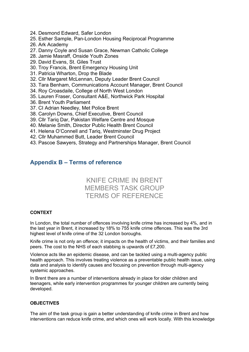- 24. Desmond Edward, Safer London
- 25. Esther Sample, Pan-London Housing Reciprocal Programme
- 26. Ark Academy
- 27. Danny Coyle and Susan Grace, Newman Catholic College
- 28. Jamie Masraff, Onside Youth Zones
- 29. David Evans, St. Giles Trust
- 30. Troy Francis, Brent Emergency Housing Unit
- 31. Patricia Wharton, Drop the Blade
- 32. Cllr Margaret McLennan, Deputy Leader Brent Council
- 33. Tara Benham, Communications Account Manager, Brent Council
- 34. Roy Croasdaile, College of North West London
- 35. Lauren Fraser, Consultant A&E, Northwick Park Hospital
- 36. Brent Youth Parliament
- 37. CI Adrian Needley, Met Police Brent
- 38. Carolyn Downs, Chief Executive, Brent Council
- 39. Cllr Tariq Dar, Pakistan Welfare Centre and Mosque
- 40. Melanie Smith, Director Public Health Brent Council
- 41. Helena O'Connell and Tariq, Westminster Drug Project
- 42. Cllr Muhammed Butt, Leader Brent Council
- 43. Pascoe Sawyers, Strategy and Partnerships Manager, Brent Council

# **Appendix B – Terms of reference**

# KNIFE CRIME IN BRENT MEMBERS TASK GROUP TERMS OF REFERENCE

#### **CONTEXT**

In London, the total number of offences involving knife crime has increased by 4%, and in the last year in Brent, it increased by 18% to 755 knife crime offences. This was the 3rd highest level of knife crime of the 32 London boroughs.

Knife crime is not only an offence; it impacts on the health of victims, and their families and peers. The cost to the NHS of each stabbing is upwards of £7,200.

Violence acts like an epidemic disease, and can be tackled using a multi-agency public health approach. This involves treating violence as a preventable public health issue, using data and analysis to identify causes and focusing on prevention through multi-agency systemic approaches.

In Brent there are a number of interventions already in place for older children and teenagers, while early intervention programmes for younger children are currently being developed.

#### **OBJECTIVES**

The aim of the task group is gain a better understanding of knife crime in Brent and how interventions can reduce knife crime, and which ones will work locally. With this knowledge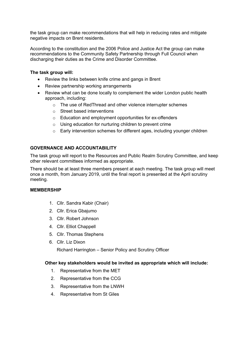the task group can make recommendations that will help in reducing rates and mitigate negative impacts on Brent residents.

According to the constitution and the 2006 Police and Justice Act the group can make recommendations to the Community Safety Partnership through Full Council when discharging their duties as the Crime and Disorder Committee.

#### **The task group will:**

- Review the links between knife crime and gangs in Brent
- Review partnership working arrangements
- Review what can be done locally to complement the wider London public health approach, including:
	- o The use of RedThread and other violence interrupter schemes
	- o Street based interventions
	- o Education and employment opportunities for ex-offenders
	- o Using education for nurturing children to prevent crime
	- o Early intervention schemes for different ages, including younger children

### **GOVERNANCE AND ACCOUNTABILITY**

The task group will report to the Resources and Public Realm Scrutiny Committee, and keep other relevant committees informed as appropriate.

There should be at least three members present at each meeting. The task group will meet once a month, from January 2019, until the final report is presented at the April scrutiny meeting.

#### **MEMBERSHIP**

- 1. Cllr. Sandra Kabir (Chair)
- 2. Cllr. Erica Gbajumo
- 3. Cllr. Robert Johnson
- 4. Cllr. Elliot Chappell
- 5. Cllr. Thomas Stephens
- 6. Cllr. Liz Dixon

Richard Harrington – Senior Policy and Scrutiny Officer

#### **Other key stakeholders would be invited as appropriate which will include:**

- 1. Representative from the MET
- 2. Representative from the CCG
- 3. Representative from the LNWH
- 4. Representative from St Giles